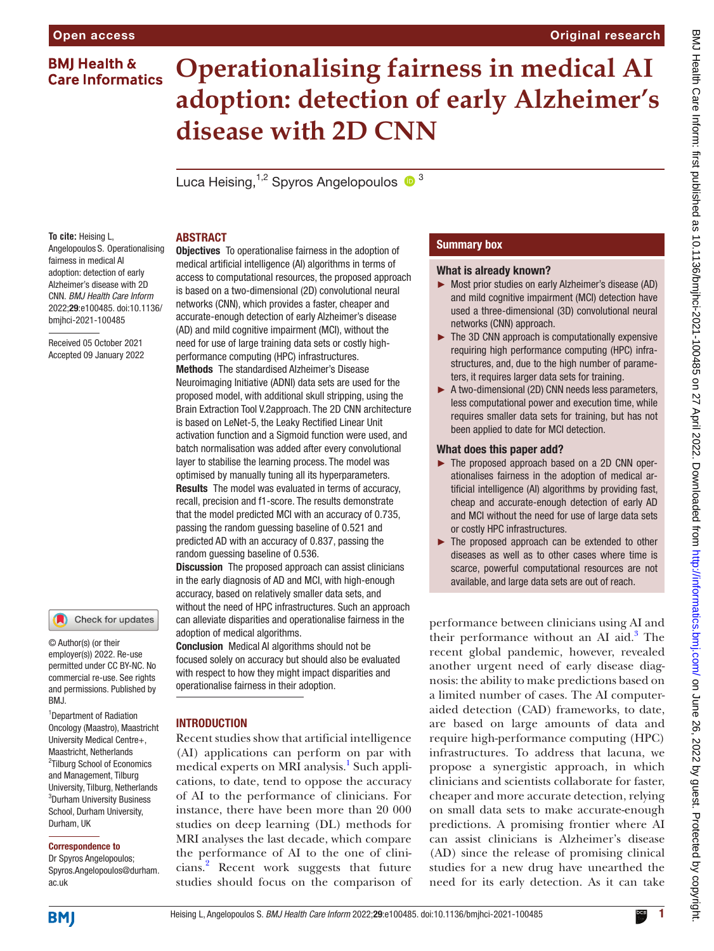# **BMJ Health & Care Informatics**

# **Operationalising fairness in medical AI adoption: detection of early Alzheimer's disease with 2D CNN**

Luca Heising,  $1,2$  Spyros Angelopoulos  $\bullet$ <sup>3</sup>

### **To cite:** Heising L, Angelopoulos S. Operationalising fairness in medical AI adoption: detection of early Alzheimer's disease with 2D CNN. *BMJ Health Care Inform* 2022;29:e100485. doi:10.1136/ bmjhci-2021-100485

Received 05 October 2021 Accepted 09 January 2022

# Check for updates

© Author(s) (or their employer(s)) 2022. Re-use permitted under CC BY-NC. No commercial re-use. See rights and permissions. Published by BMJ.

<sup>1</sup>Department of Radiation Oncology (Maastro), Maastricht University Medical Centre+, Maastricht, Netherlands <sup>2</sup>Tilburg School of Economics and Management, Tilburg University, Tilburg, Netherlands 3 Durham University Business School, Durham University, Durham, UK

### Correspondence to

Dr Spyros Angelopoulos; Spyros.Angelopoulos@durham. ac.uk

### ABSTRACT

Objectives To operationalise fairness in the adoption of medical artificial intelligence (AI) algorithms in terms of access to computational resources, the proposed approach is based on a two-dimensional (2D) convolutional neural networks (CNN), which provides a faster, cheaper and accurate-enough detection of early Alzheimer's disease (AD) and mild cognitive impairment (MCI), without the need for use of large training data sets or costly highperformance computing (HPC) infrastructures. Methods The standardised Alzheimer's Disease Neuroimaging Initiative (ADNI) data sets are used for the proposed model, with additional skull stripping, using the Brain Extraction Tool V.2approach. The 2D CNN architecture is based on LeNet-5, the Leaky Rectified Linear Unit

activation function and a Sigmoid function were used, and batch normalisation was added after every convolutional layer to stabilise the learning process. The model was optimised by manually tuning all its hyperparameters. Results The model was evaluated in terms of accuracy,

recall, precision and f1-score. The results demonstrate that the model predicted MCI with an accuracy of 0.735, passing the random guessing baseline of 0.521 and predicted AD with an accuracy of 0.837, passing the random guessing baseline of 0.536.

**Discussion** The proposed approach can assist clinicians in the early diagnosis of AD and MCI, with high-enough accuracy, based on relatively smaller data sets, and without the need of HPC infrastructures. Such an approach can alleviate disparities and operationalise fairness in the adoption of medical algorithms.

Conclusion Medical AI algorithms should not be focused solely on accuracy but should also be evaluated with respect to how they might impact disparities and operationalise fairness in their adoption.

# **INTRODUCTION**

Recent studies show that artificial intelligence (AI) applications can perform on par with medical experts on MRI analysis.<sup>[1](#page-5-0)</sup> Such applications, to date, tend to oppose the accuracy of AI to the performance of clinicians. For instance, there have been more than 20 000 studies on deep learning (DL) methods for MRI analyses the last decade, which compare the performance of AI to the one of clinicians[.2](#page-5-1) Recent work suggests that future studies should focus on the comparison of

# Summary box

### What is already known?

- ► Most prior studies on early Alzheimer's disease (AD) and mild cognitive impairment (MCI) detection have used a three-dimensional (3D) convolutional neural networks (CNN) approach.
- ► The 3D CNN approach is computationally expensive requiring high performance computing (HPC) infrastructures, and, due to the high number of parameters, it requires larger data sets for training.
- ► A two-dimensional (2D) CNN needs less parameters, less computational power and execution time, while requires smaller data sets for training, but has not been applied to date for MCI detection.

### What does this paper add?

- ► The proposed approach based on a 2D CNN operationalises fairness in the adoption of medical artificial intelligence (AI) algorithms by providing fast, cheap and accurate-enough detection of early AD and MCI without the need for use of large data sets or costly HPC infrastructures.
- ► The proposed approach can be extended to other diseases as well as to other cases where time is scarce, powerful computational resources are not available, and large data sets are out of reach.

performance between clinicians using AI and their performance without an AI aid.<sup>[3](#page-5-2)</sup> The recent global pandemic, however, revealed another urgent need of early disease diagnosis: the ability to make predictions based on a limited number of cases. The AI computeraided detection (CAD) frameworks, to date, are based on large amounts of data and require high-performance computing (HPC) infrastructures. To address that lacuna, we propose a synergistic approach, in which clinicians and scientists collaborate for faster, cheaper and more accurate detection, relying on small data sets to make accurate-enough predictions. A promising frontier where AI can assist clinicians is Alzheimer's disease (AD) since the release of promising clinical studies for a new drug have unearthed the need for its early detection. As it can take

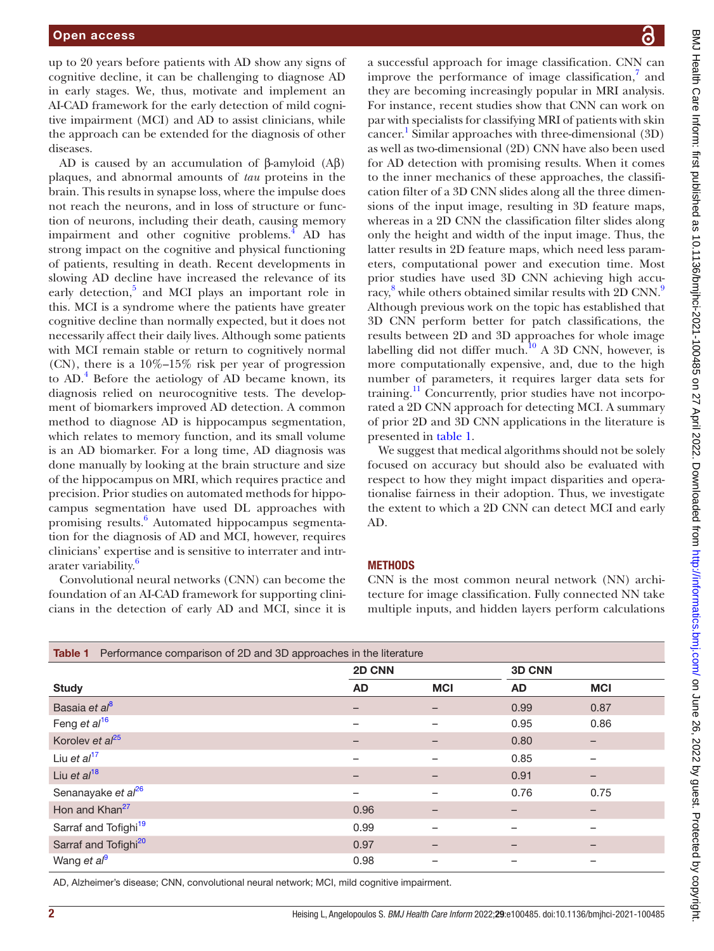up to 20 years before patients with AD show any signs of cognitive decline, it can be challenging to diagnose AD in early stages. We, thus, motivate and implement an AI-CAD framework for the early detection of mild cognitive impairment (MCI) and AD to assist clinicians, while the approach can be extended for the diagnosis of other diseases.

AD is caused by an accumulation of β-amyloid  $(Aβ)$ plaques, and abnormal amounts of *tau* proteins in the brain. This results in synapse loss, where the impulse does not reach the neurons, and in loss of structure or function of neurons, including their death, causing memory impairment and other cognitive problems. $\frac{4}{3}$  $\frac{4}{3}$  $\frac{4}{3}$  AD has strong impact on the cognitive and physical functioning of patients, resulting in death. Recent developments in slowing AD decline have increased the relevance of its early detection,<sup>[5](#page-5-4)</sup> and MCI plays an important role in this. MCI is a syndrome where the patients have greater cognitive decline than normally expected, but it does not necessarily affect their daily lives. Although some patients with MCI remain stable or return to cognitively normal (CN), there is a 10%–15% risk per year of progression to AD.<sup>[4](#page-5-3)</sup> Before the aetiology of AD became known, its diagnosis relied on neurocognitive tests. The development of biomarkers improved AD detection. A common method to diagnose AD is hippocampus segmentation, which relates to memory function, and its small volume is an AD biomarker. For a long time, AD diagnosis was done manually by looking at the brain structure and size of the hippocampus on MRI, which requires practice and precision. Prior studies on automated methods for hippocampus segmentation have used DL approaches with promising results.<sup>[6](#page-5-5)</sup> Automated hippocampus segmentation for the diagnosis of AD and MCI, however, requires clinicians' expertise and is sensitive to interrater and intr-arater variability.<sup>[6](#page-5-5)</sup>

Convolutional neural networks (CNN) can become the foundation of an AI-CAD framework for supporting clinicians in the detection of early AD and MCI, since it is

a successful approach for image classification. CNN can improve the performance of image classification,<sup>7</sup> and they are becoming increasingly popular in MRI analysis. For instance, recent studies show that CNN can work on par with specialists for classifying MRI of patients with skin cancer. [1](#page-5-0) Similar approaches with three-dimensional (3D) as well as two-dimensional (2D) CNN have also been used for AD detection with promising results. When it comes to the inner mechanics of these approaches, the classification filter of a 3D CNN slides along all the three dimensions of the input image, resulting in 3D feature maps, whereas in a 2D CNN the classification filter slides along only the height and width of the input image. Thus, the latter results in 2D feature maps, which need less parameters, computational power and execution time. Most prior studies have used 3D CNN achieving high accu-racy,<sup>[8](#page-5-7)</sup> while others obtained similar results with 2D CNN.<sup>9</sup> Although previous work on the topic has established that 3D CNN perform better for patch classifications, the results between 2D and 3D approaches for whole image labelling did not differ much.<sup>10</sup> A 3D CNN, however, is more computationally expensive, and, due to the high number of parameters, it requires larger data sets for training.<sup>[11](#page-5-10)</sup> Concurrently, prior studies have not incorporated a 2D CNN approach for detecting MCI. A summary of prior 2D and 3D CNN applications in the literature is presented in [table](#page-1-0) 1.

We suggest that medical algorithms should not be solely focused on accuracy but should also be evaluated with respect to how they might impact disparities and operationalise fairness in their adoption. Thus, we investigate the extent to which a 2D CNN can detect MCI and early AD.

### **METHODS**

CNN is the most common neural network (NN) architecture for image classification. Fully connected NN take multiple inputs, and hidden layers perform calculations

<span id="page-1-0"></span>

| <b>Table 1</b> Performance comparison of 2D and 3D approaches in the literature |        |            |               |                          |  |  |  |
|---------------------------------------------------------------------------------|--------|------------|---------------|--------------------------|--|--|--|
|                                                                                 | 2D CNN |            | <b>3D CNN</b> |                          |  |  |  |
| <b>Study</b>                                                                    | AD     | <b>MCI</b> | <b>AD</b>     | <b>MCI</b>               |  |  |  |
| Basaia et al <sup>8</sup>                                                       |        |            | 0.99          | 0.87                     |  |  |  |
| Feng et al <sup>16</sup>                                                        |        |            | 0.95          | 0.86                     |  |  |  |
| Korolev et $al^{25}$                                                            |        |            | 0.80          | $\overline{\phantom{0}}$ |  |  |  |
| Liu et $al^{17}$                                                                |        |            | 0.85          |                          |  |  |  |
| Liu et $al^{18}$                                                                | -      |            | 0.91          | -                        |  |  |  |
| Senanayake et al <sup>26</sup>                                                  |        |            | 0.76          | 0.75                     |  |  |  |
| Hon and Khan <sup>27</sup>                                                      | 0.96   |            |               |                          |  |  |  |
| Sarraf and Tofighi <sup>19</sup>                                                | 0.99   |            |               | -                        |  |  |  |
| Sarraf and Tofighi <sup>20</sup>                                                | 0.97   |            |               | $\overline{\phantom{0}}$ |  |  |  |
| Wang et al <sup>9</sup>                                                         | 0.98   |            |               | -                        |  |  |  |

AD, Alzheimer's disease; CNN, convolutional neural network; MCI, mild cognitive impairment.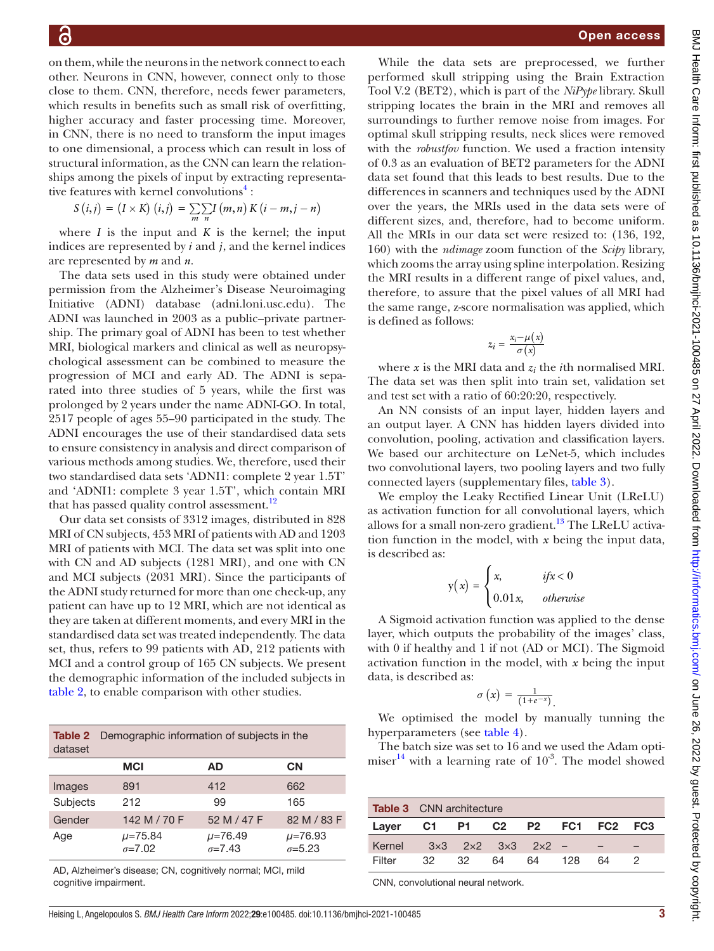on them, while the neurons in the network connect to each other. Neurons in CNN, however, connect only to those close to them. CNN, therefore, needs fewer parameters, which results in benefits such as small risk of overfitting, higher accuracy and faster processing time. Moreover, in CNN, there is no need to transform the input images to one dimensional, a process which can result in loss of structural information, as the CNN can learn the relationships among the pixels of input by extracting representa-tive features with kernel convolutions<sup>[4](#page-5-3)</sup>:

$$
S(i,j) = (I \times K)(i,j) = \sum_{m} \sum_{n} I(m,n) K(i-m,j-n)
$$

where  $I$  is the input and  $K$  is the kernel; the input indices are represented by *i* and *j*, and the kernel indices are represented by *m* and *n*.

The data sets used in this study were obtained under permission from the Alzheimer's Disease Neuroimaging Initiative (ADNI) database (adni.loni.usc.edu). The ADNI was launched in 2003 as a public–private partnership. The primary goal of ADNI has been to test whether MRI, biological markers and clinical as well as neuropsychological assessment can be combined to measure the progression of MCI and early AD. The ADNI is separated into three studies of 5 years, while the first was prolonged by 2 years under the name ADNI-GO. In total, 2517 people of ages 55–90 participated in the study. The ADNI encourages the use of their standardised data sets to ensure consistency in analysis and direct comparison of various methods among studies. We, therefore, used their two standardised data sets 'ADNI1: complete 2 year 1.5T' and 'ADNI1: complete 3 year 1.5T', which contain MRI that has passed quality control assessment.<sup>12</sup>

Our data set consists of 3312 images, distributed in 828 MRI of CN subjects, 453 MRI of patients with AD and 1203 MRI of patients with MCI. The data set was split into one with CN and AD subjects (1281 MRI), and one with CN and MCI subjects (2031 MRI). Since the participants of the ADNI study returned for more than one check-up, any patient can have up to 12 MRI, which are not identical as they are taken at different moments, and every MRI in the standardised data set was treated independently. The data set, thus, refers to 99 patients with AD, 212 patients with MCI and a control group of 165 CN subjects. We present the demographic information of the included subjects in [table](#page-2-0) 2, to enable comparison with other studies.

<span id="page-2-0"></span>

| dataset  | <b>Table 2</b> Demographic information of subjects in the |                                  |                                  |  |  |  |  |
|----------|-----------------------------------------------------------|----------------------------------|----------------------------------|--|--|--|--|
|          | <b>MCI</b>                                                | AD.                              | <b>CN</b>                        |  |  |  |  |
| Images   | 891                                                       | 412                              | 662                              |  |  |  |  |
| Subjects | 212                                                       | 99                               | 165                              |  |  |  |  |
| Gender   | 142 M / 70 F                                              | 52 M / 47 F                      | 82 M / 83 F                      |  |  |  |  |
| Age      | $\mu = 75.84$<br>$\sigma = 7.02$                          | $\mu = 76.49$<br>$\sigma = 7.43$ | $\mu = 76.93$<br>$\sigma = 5.23$ |  |  |  |  |

AD, Alzheimer's disease; CN, cognitively normal; MCI, mild cognitive impairment.

While the data sets are preprocessed, we further performed skull stripping using the Brain Extraction Tool V.2 (BET2), which is part of the *NiPype* library. Skull stripping locates the brain in the MRI and removes all surroundings to further remove noise from images. For optimal skull stripping results, neck slices were removed with the *robustfov* function. We used a fraction intensity of 0.3 as an evaluation of BET2 parameters for the ADNI data set found that this leads to best results. Due to the differences in scanners and techniques used by the ADNI over the years, the MRIs used in the data sets were of different sizes, and, therefore, had to become uniform. All the MRIs in our data set were resized to: (136, 192, 160) with the *ndimage* zoom function of the *Scipy* library, which zooms the array using spline interpolation. Resizing the MRI results in a different range of pixel values, and, therefore, to assure that the pixel values of all MRI had the same range, z-score normalisation was applied, which is defined as follows:

$$
z_i = \frac{x_i - \mu(x)}{\sigma(x)}
$$

where *x* is the MRI data and *zi* the *i*th normalised MRI. The data set was then split into train set, validation set and test set with a ratio of 60:20:20, respectively.

An NN consists of an input layer, hidden layers and an output layer. A CNN has hidden layers divided into convolution, pooling, activation and classification layers. We based our architecture on LeNet-5, which includes two convolutional layers, two pooling layers and two fully connected layers (supplementary files, [table](#page-2-1) 3).

We employ the Leaky Rectified Linear Unit (LReLU) as activation function for all convolutional layers, which allows for a small non-zero gradient.<sup>13</sup> The LReLU activation function in the model, with *x* being the input data, is described as:

$$
y(x) = \begin{cases} x, & if x < 0 \\ 0.01x, & otherwise \end{cases}
$$

A Sigmoid activation function was applied to the dense layer, which outputs the probability of the images' class, with 0 if healthy and 1 if not (AD or MCI). The Sigmoid activation function in the model, with *x* being the input data, is described as:

$$
\sigma\left(x\right)=\frac{1}{\left(1+e^{-x}\right)}.
$$

We optimised the model by manually tunning the hyperparameters (see [table](#page-3-0) 4).

The batch size was set to 16 and we used the Adam optimiser $14$  with a learning rate of  $10^{-3}$ . The model showed

<span id="page-2-1"></span>

|                                    | <b>Table 3</b> CNN architecture |  |    |        |  |    |  |  |
|------------------------------------|---------------------------------|--|----|--------|--|----|--|--|
| Layer C1 P1 C2 P2 FC1 FC2 FC3      |                                 |  |    |        |  |    |  |  |
| Kernel $3x3$ $2x2$ $3x3$ $2x2$ - - |                                 |  |    |        |  |    |  |  |
| Filter                             | 32 32                           |  | 64 | 64 128 |  | 64 |  |  |

CNN, convolutional neural network.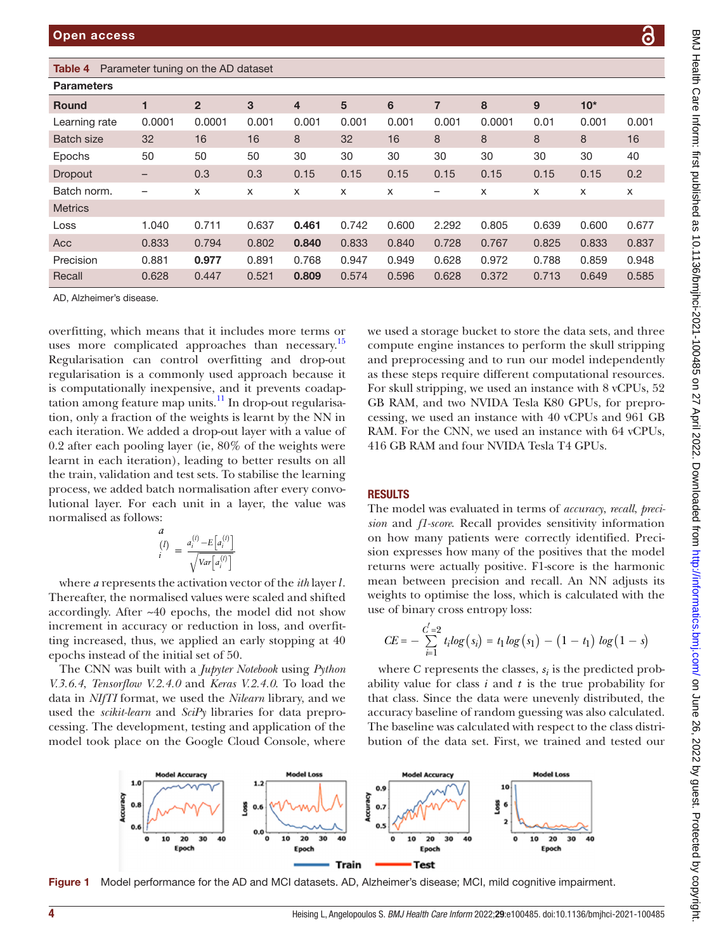# <span id="page-3-0"></span>Table 4 Parameter tuning on the AD dataset

| <b>Parameters</b> |                   |                |       |                |       |       |       |        |       |       |       |
|-------------------|-------------------|----------------|-------|----------------|-------|-------|-------|--------|-------|-------|-------|
| <b>Round</b>      |                   | $\overline{2}$ | 3     | $\overline{4}$ | 5     | 6     | 7     | 8      | 9     | $10*$ |       |
| Learning rate     | 0.0001            | 0.0001         | 0.001 | 0.001          | 0.001 | 0.001 | 0.001 | 0.0001 | 0.01  | 0.001 | 0.001 |
| <b>Batch size</b> | 32                | 16             | 16    | 8              | 32    | 16    | 8     | 8      | 8     | 8     | 16    |
| Epochs            | 50                | 50             | 50    | 30             | 30    | 30    | 30    | 30     | 30    | 30    | 40    |
| Dropout           | $\qquad \qquad -$ | 0.3            | 0.3   | 0.15           | 0.15  | 0.15  | 0.15  | 0.15   | 0.15  | 0.15  | 0.2   |
| Batch norm.       | -                 | X              | X     | X              | X     | x     | -     | x      | X     | X     | X     |
| <b>Metrics</b>    |                   |                |       |                |       |       |       |        |       |       |       |
| Loss              | 1.040             | 0.711          | 0.637 | 0.461          | 0.742 | 0.600 | 2.292 | 0.805  | 0.639 | 0.600 | 0.677 |
| Acc               | 0.833             | 0.794          | 0.802 | 0.840          | 0.833 | 0.840 | 0.728 | 0.767  | 0.825 | 0.833 | 0.837 |
| Precision         | 0.881             | 0.977          | 0.891 | 0.768          | 0.947 | 0.949 | 0.628 | 0.972  | 0.788 | 0.859 | 0.948 |
| Recall            | 0.628             | 0.447          | 0.521 | 0.809          | 0.574 | 0.596 | 0.628 | 0.372  | 0.713 | 0.649 | 0.585 |

AD, Alzheimer's disease.

overfitting, which means that it includes more terms or uses more complicated approaches than necessary.<sup>15</sup> Regularisation can control overfitting and drop-out regularisation is a commonly used approach because it is computationally inexpensive, and it prevents coadaptation among feature map units. $\frac{11}{11}$  In drop-out regularisation, only a fraction of the weights is learnt by the NN in each iteration. We added a drop-out layer with a value of 0.2 after each pooling layer (ie, 80% of the weights were learnt in each iteration), leading to better results on all the train, validation and test sets. To stabilise the learning process, we added batch normalisation after every convolutional layer. For each unit in a layer, the value was normalised as follows:

$$
\begin{array}{l}\n a \\
(l) \\
i\n\end{array} = \frac{a_i^{(l)} - E\left[a_i^{(l)}\right]}{\sqrt{\text{Var}\left[a_i^{(l)}\right]}}
$$

where *a* represents the activation vector of the *ith* layer *l*. Thereafter, the normalised values were scaled and shifted accordingly. After ~40 epochs, the model did not show increment in accuracy or reduction in loss, and overfitting increased, thus, we applied an early stopping at 40 epochs instead of the initial set of 50.

The CNN was built with a *Jupyter Notebook* using *Python V.3.6.4*, *Tensorflow V.2.4.0* and *Keras V.2.4.0*. To load the data in *NIfTI* format, we used the *Nilearn* library, and we used the *scikit-learn* and *SciPy* libraries for data preprocessing. The development, testing and application of the model took place on the Google Cloud Console, where

we used a storage bucket to store the data sets, and three compute engine instances to perform the skull stripping and preprocessing and to run our model independently as these steps require different computational resources. For skull stripping, we used an instance with 8 vCPUs, 52 GB RAM, and two NVIDA Tesla K80 GPUs, for preprocessing, we used an instance with 40 vCPUs and 961 GB RAM. For the CNN, we used an instance with 64 vCPUs, 416 GB RAM and four NVIDA Tesla T4 GPUs.

### **RESULTS**

The model was evaluated in terms of *accuracy*, *recall*, *precision* and *f1-score*. Recall provides sensitivity information on how many patients were correctly identified. Precision expresses how many of the positives that the model returns were actually positive. F1-score is the harmonic mean between precision and recall. An NN adjusts its weights to optimise the loss, which is calculated with the use of binary cross entropy loss:

$$
CE = -\sum_{i=1}^{C'=2} t_i log(s_i) = t_1 log(s_1) - (1 - t_1) log(1 - s)
$$

where  $C$  represents the classes,  $s_i$  is the predicted probability value for class *i* and *t* is the true probability for that class. Since the data were unevenly distributed, the accuracy baseline of random guessing was also calculated. The baseline was calculated with respect to the class distribution of the data set. First, we trained and tested our

<span id="page-3-1"></span>

Figure 1 Model performance for the AD and MCI datasets. AD, Alzheimer's disease; MCI, mild cognitive impairment.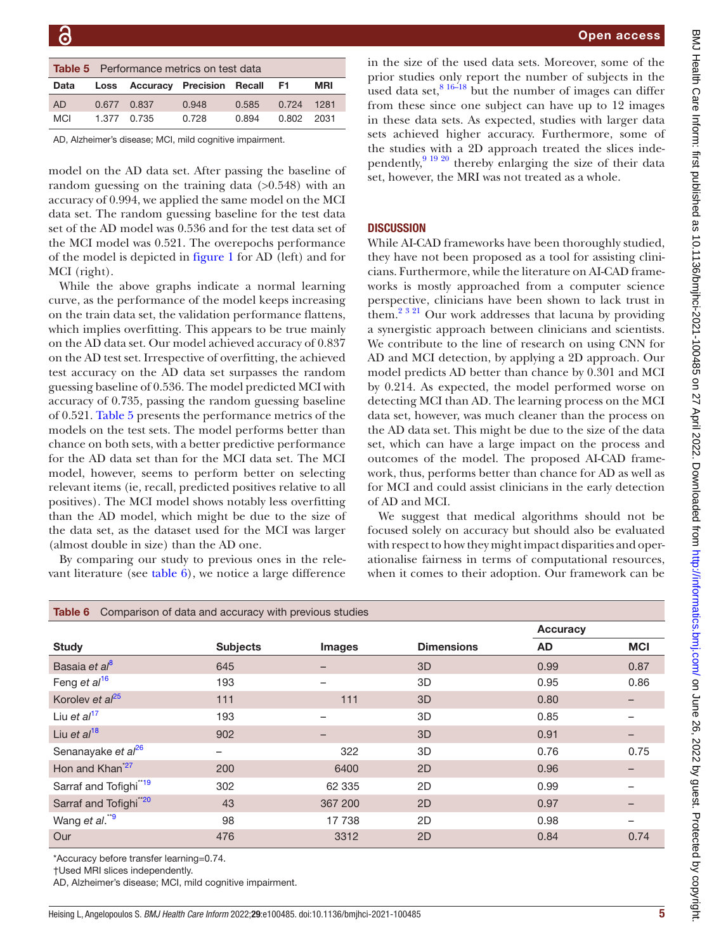<span id="page-4-0"></span>

| <b>Table 5</b> Performance metrics on test data |  |                                   |       |       |            |      |
|-------------------------------------------------|--|-----------------------------------|-------|-------|------------|------|
| Data                                            |  | Loss Accuracy Precision Recall F1 |       |       |            | MRI  |
| AD                                              |  | 0.677 0.837                       | 0.948 | 0.585 | 0.724      | 1281 |
| <b>MCI</b>                                      |  | 1.377 0.735                       | 0.728 | 0.894 | 0.802 2031 |      |

AD, Alzheimer's disease; MCI, mild cognitive impairment.

model on the AD data set. After passing the baseline of random guessing on the training data  $(>0.548)$  with an accuracy of 0.994, we applied the same model on the MCI data set. The random guessing baseline for the test data set of the AD model was 0.536 and for the test data set of the MCI model was 0.521. The overepochs performance of the model is depicted in [figure](#page-3-1) 1 for AD (left) and for MCI (right).

While the above graphs indicate a normal learning curve, as the performance of the model keeps increasing on the train data set, the validation performance flattens, which implies overfitting. This appears to be true mainly on the AD data set. Our model achieved accuracy of 0.837 on the AD test set. Irrespective of overfitting, the achieved test accuracy on the AD data set surpasses the random guessing baseline of 0.536. The model predicted MCI with accuracy of 0.735, passing the random guessing baseline of 0.521. [Table](#page-4-0) 5 presents the performance metrics of the models on the test sets. The model performs better than chance on both sets, with a better predictive performance for the AD data set than for the MCI data set. The MCI model, however, seems to perform better on selecting relevant items (ie, recall, predicted positives relative to all positives). The MCI model shows notably less overfitting than the AD model, which might be due to the size of the data set, as the dataset used for the MCI was larger (almost double in size) than the AD one.

By comparing our study to previous ones in the relevant literature (see [table](#page-4-1) 6), we notice a large difference

in the size of the used data sets. Moreover, some of the prior studies only report the number of subjects in the used data set, $816-18$  but the number of images can differ from these since one subject can have up to 12 images in these data sets. As expected, studies with larger data sets achieved higher accuracy. Furthermore, some of the studies with a 2D approach treated the slices independently,<sup>9 19 20</sup> thereby enlarging the size of their data set, however, the MRI was not treated as a whole.

### **DISCUSSION**

While AI-CAD frameworks have been thoroughly studied, they have not been proposed as a tool for assisting clinicians. Furthermore, while the literature on AI-CAD frameworks is mostly approached from a computer science perspective, clinicians have been shown to lack trust in them.<sup>2 3 21</sup> Our work addresses that lacuna by providing a synergistic approach between clinicians and scientists. We contribute to the line of research on using CNN for AD and MCI detection, by applying a 2D approach. Our model predicts AD better than chance by 0.301 and MCI by 0.214. As expected, the model performed worse on detecting MCI than AD. The learning process on the MCI data set, however, was much cleaner than the process on the AD data set. This might be due to the size of the data set, which can have a large impact on the process and outcomes of the model. The proposed AI-CAD framework, thus, performs better than chance for AD as well as for MCI and could assist clinicians in the early detection of AD and MCI.

We suggest that medical algorithms should not be focused solely on accuracy but should also be evaluated with respect to how they might impact disparities and operationalise fairness in terms of computational resources, when it comes to their adoption. Our framework can be

<span id="page-4-1"></span>

| Comparison of data and accuracy with previous studies<br>Table 6 |                 |                          |                   |           |            |  |  |  |
|------------------------------------------------------------------|-----------------|--------------------------|-------------------|-----------|------------|--|--|--|
|                                                                  |                 |                          |                   | Accuracy  |            |  |  |  |
| <b>Study</b>                                                     | <b>Subjects</b> | Images                   | <b>Dimensions</b> | <b>AD</b> | <b>MCI</b> |  |  |  |
| Basaia et al <sup>8</sup>                                        | 645             |                          | 3D                | 0.99      | 0.87       |  |  |  |
| Feng et $al^{16}$                                                | 193             |                          | 3D                | 0.95      | 0.86       |  |  |  |
| Korolev et $al^{25}$                                             | 111             | 111                      | 3D                | 0.80      |            |  |  |  |
| Liu et $al17$                                                    | 193             | $\overline{\phantom{0}}$ | 3D                | 0.85      |            |  |  |  |
| Liu et $al^{18}$                                                 | 902             |                          | 3D                | 0.91      |            |  |  |  |
| Senanayake et al <sup>26</sup>                                   |                 | 322                      | 3D                | 0.76      | 0.75       |  |  |  |
| Hon and Khan <sup>*27</sup>                                      | 200             | 6400                     | 2D                | 0.96      |            |  |  |  |
| Sarraf and Tofighi <sup>"19</sup>                                | 302             | 62 335                   | 2D                | 0.99      |            |  |  |  |
| Sarraf and Tofighi <sup>*20</sup>                                | 43              | 367 200                  | 2D                | 0.97      |            |  |  |  |
| Wang et al. <sup>**9</sup>                                       | 98              | 17 738                   | 2D                | 0.98      |            |  |  |  |
| Our                                                              | 476             | 3312                     | 2D                | 0.84      | 0.74       |  |  |  |

\*Accuracy before transfer learning=0.74.

†Used MRI slices independently.

AD, Alzheimer's disease; MCI, mild cognitive impairment.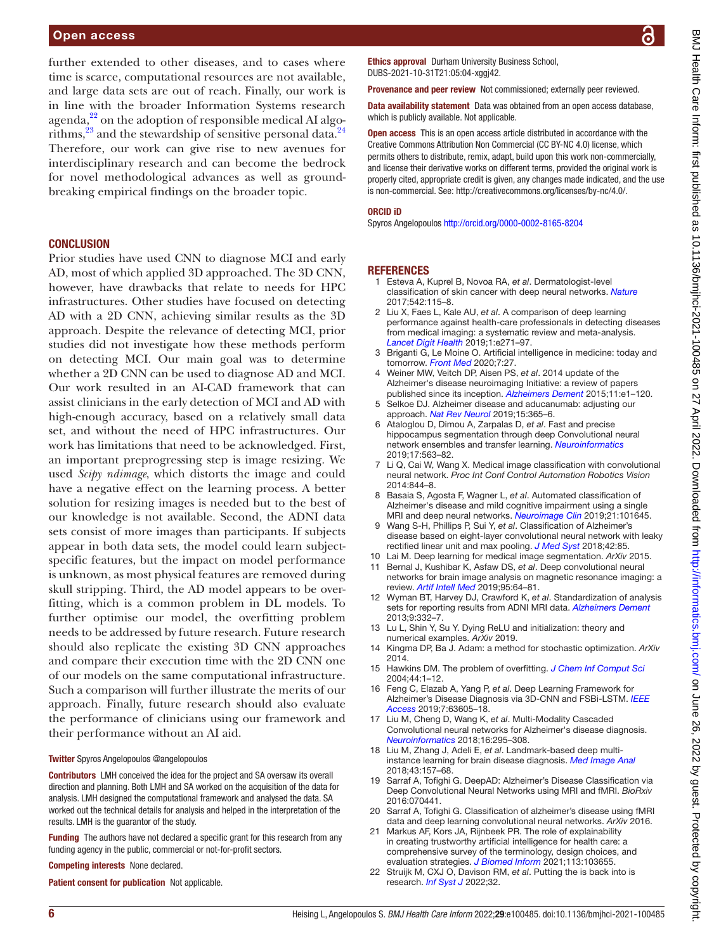### Open access

further extended to other diseases, and to cases where time is scarce, computational resources are not available, and large data sets are out of reach. Finally, our work is in line with the broader Information Systems research agenda,<sup>22</sup> on the adoption of responsible medical AI algorithms,  $^{23}$  and the stewardship of sensitive personal data.<sup>24</sup> Therefore, our work can give rise to new avenues for interdisciplinary research and can become the bedrock for novel methodological advances as well as groundbreaking empirical findings on the broader topic.

### **CONCLUSION**

Prior studies have used CNN to diagnose MCI and early AD, most of which applied 3D approached. The 3D CNN, however, have drawbacks that relate to needs for HPC infrastructures. Other studies have focused on detecting AD with a 2D CNN, achieving similar results as the 3D approach. Despite the relevance of detecting MCI, prior studies did not investigate how these methods perform on detecting MCI. Our main goal was to determine whether a 2D CNN can be used to diagnose AD and MCI. Our work resulted in an AI-CAD framework that can assist clinicians in the early detection of MCI and AD with high-enough accuracy, based on a relatively small data set, and without the need of HPC infrastructures. Our work has limitations that need to be acknowledged. First, an important preprogressing step is image resizing. We used *Scipy ndimage*, which distorts the image and could have a negative effect on the learning process. A better solution for resizing images is needed but to the best of our knowledge is not available. Second, the ADNI data sets consist of more images than participants. If subjects appear in both data sets, the model could learn subjectspecific features, but the impact on model performance is unknown, as most physical features are removed during skull stripping. Third, the AD model appears to be overfitting, which is a common problem in DL models. To further optimise our model, the overfitting problem needs to be addressed by future research. Future research should also replicate the existing 3D CNN approaches and compare their execution time with the 2D CNN one of our models on the same computational infrastructure. Such a comparison will further illustrate the merits of our approach. Finally, future research should also evaluate the performance of clinicians using our framework and their performance without an AI aid.

#### Twitter Spyros Angelopoulos [@angelopoulos](https://twitter.com/angelopoulos)

Contributors LMH conceived the idea for the project and SA oversaw its overall direction and planning. Both LMH and SA worked on the acquisition of the data for analysis. LMH designed the computational framework and analysed the data. SA worked out the technical details for analysis and helped in the interpretation of the results. LMH is the guarantor of the study.

Funding The authors have not declared a specific grant for this research from any funding agency in the public, commercial or not-for-profit sectors.

Competing interests None declared.

Patient consent for publication Not applicable.

Ethics approval Durham University Business School, DUBS-2021-10-31T21:05:04-xggj42.

Provenance and peer review Not commissioned; externally peer reviewed.

Data availability statement Data was obtained from an open access database. which is publicly available. Not applicable.

**Open access** This is an open access article distributed in accordance with the Creative Commons Attribution Non Commercial (CC BY-NC 4.0) license, which permits others to distribute, remix, adapt, build upon this work non-commercially, and license their derivative works on different terms, provided the original work is properly cited, appropriate credit is given, any changes made indicated, and the use is non-commercial. See: [http://creativecommons.org/licenses/by-nc/4.0/.](http://creativecommons.org/licenses/by-nc/4.0/)

#### ORCID iD

Spyros Angelopoulos<http://orcid.org/0000-0002-8165-8204>

### REFERENCES

- <span id="page-5-0"></span>1 Esteva A, Kuprel B, Novoa RA, *et al*. Dermatologist-level classification of skin cancer with deep neural networks. *[Nature](http://dx.doi.org/10.1038/nature21056)* 2017;542:115–8.
- <span id="page-5-1"></span>2 Liu X, Faes L, Kale AU, *et al*. A comparison of deep learning performance against health-care professionals in detecting diseases from medical imaging: a systematic review and meta-analysis. *[Lancet Digit Health](http://dx.doi.org/10.1016/S2589-7500(19)30123-2)* 2019;1:e271–97.
- <span id="page-5-2"></span>3 Briganti G, Le Moine O. Artificial intelligence in medicine: today and tomorrow. *[Front Med](http://dx.doi.org/10.3389/fmed.2020.00027)* 2020;7:27.
- <span id="page-5-3"></span>4 Weiner MW, Veitch DP, Aisen PS, *et al*. 2014 update of the Alzheimer's disease neuroimaging Initiative: a review of papers published since its inception. *[Alzheimers Dement](http://dx.doi.org/10.1016/j.jalz.2014.11.001)* 2015;11:e1–120.
- <span id="page-5-4"></span>5 Selkoe DJ. Alzheimer disease and aducanumab: adjusting our approach. *[Nat Rev Neurol](http://dx.doi.org/10.1038/s41582-019-0205-1)* 2019;15:365–6.
- <span id="page-5-5"></span>6 Ataloglou D, Dimou A, Zarpalas D, *et al*. Fast and precise hippocampus segmentation through deep Convolutional neural network ensembles and transfer learning. *[Neuroinformatics](http://dx.doi.org/10.1007/s12021-019-09417-y)* 2019;17:563–82.
- <span id="page-5-6"></span>7 Li Q, Cai W, Wang X. Medical image classification with convolutional neural network. *Proc Int Conf Control Automation Robotics Vision* 2014:844–8.
- <span id="page-5-7"></span>8 Basaia S, Agosta F, Wagner L, *et al*. Automated classification of Alzheimer's disease and mild cognitive impairment using a single MRI and deep neural networks. *[Neuroimage Clin](http://dx.doi.org/10.1016/j.nicl.2018.101645)* 2019;21:101645.
- <span id="page-5-8"></span>9 Wang S-H, Phillips P, Sui Y, *et al*. Classification of Alzheimer's disease based on eight-layer convolutional neural network with leaky rectified linear unit and max pooling. *[J Med Syst](http://dx.doi.org/10.1007/s10916-018-0932-7)* 2018;42:85.
- <span id="page-5-9"></span>10 Lai M. Deep learning for medical image segmentation. *ArXiv* 2015.
- <span id="page-5-10"></span>11 Bernal J, Kushibar K, Asfaw DS, *et al*. Deep convolutional neural networks for brain image analysis on magnetic resonance imaging: a review. *[Artif Intell Med](http://dx.doi.org/10.1016/j.artmed.2018.08.008)* 2019;95:64–81.
- <span id="page-5-16"></span>12 Wyman BT, Harvey DJ, Crawford K, *et al*. Standardization of analysis sets for reporting results from ADNI MRI data. *[Alzheimers Dement](http://dx.doi.org/10.1016/j.jalz.2012.06.004)* 2013;9:332–7.
- <span id="page-5-17"></span>13 Lu L, Shin Y, Su Y. Dying ReLU and initialization: theory and numerical examples. *ArXiv* 2019.
- <span id="page-5-18"></span>14 Kingma DP, Ba J. Adam: a method for stochastic optimization. *ArXiv* 2014.
- <span id="page-5-19"></span>15 Hawkins DM. The problem of overfitting. *[J Chem Inf Comput Sci](http://dx.doi.org/10.1021/ci0342472)* 2004;44:1–12.
- <span id="page-5-11"></span>16 Feng C, Elazab A, Yang P, *et al*. Deep Learning Framework for Alzheimer's Disease Diagnosis via 3D-CNN and FSBi-LSTM. *[IEEE](http://dx.doi.org/10.1109/ACCESS.2019.2913847)  [Access](http://dx.doi.org/10.1109/ACCESS.2019.2913847)* 2019;7:63605–18.
- <span id="page-5-12"></span>17 Liu M, Cheng D, Wang K, *et al*. Multi-Modality Cascaded Convolutional neural networks for Alzheimer's disease diagnosis. *[Neuroinformatics](http://dx.doi.org/10.1007/s12021-018-9370-4)* 2018;16:295–308.
- <span id="page-5-13"></span>18 Liu M, Zhang J, Adeli E, *et al*. Landmark-based deep multiinstance learning for brain disease diagnosis. *[Med Image Anal](http://dx.doi.org/10.1016/j.media.2017.10.005)* 2018;43:157–68.
- <span id="page-5-14"></span>19 Sarraf A, Tofighi G. DeepAD: Alzheimer's Disease Classification via Deep Convolutional Neural Networks using MRI and fMRI. *BioRxiv* 2016:070441.
- <span id="page-5-15"></span>20 Sarraf A, Tofighi G. Classification of alzheimer's disease using fMRI data and deep learning convolutional neural networks. *ArXiv* 2016.
- 21 Markus AF, Kors JA, Rijnbeek PR. The role of explainability in creating trustworthy artificial intelligence for health care: a comprehensive survey of the terminology, design choices, and evaluation strategies. *[J Biomed Inform](http://dx.doi.org/10.1016/j.jbi.2020.103655)* 2021;113:103655.
- <span id="page-5-20"></span>22 Struijk M, CXJ O, Davison RM, *et al*. Putting the is back into is research. *[Inf Syst J](http://dx.doi.org/DOI:%2010.1111/isj.12368)* 2022;32.